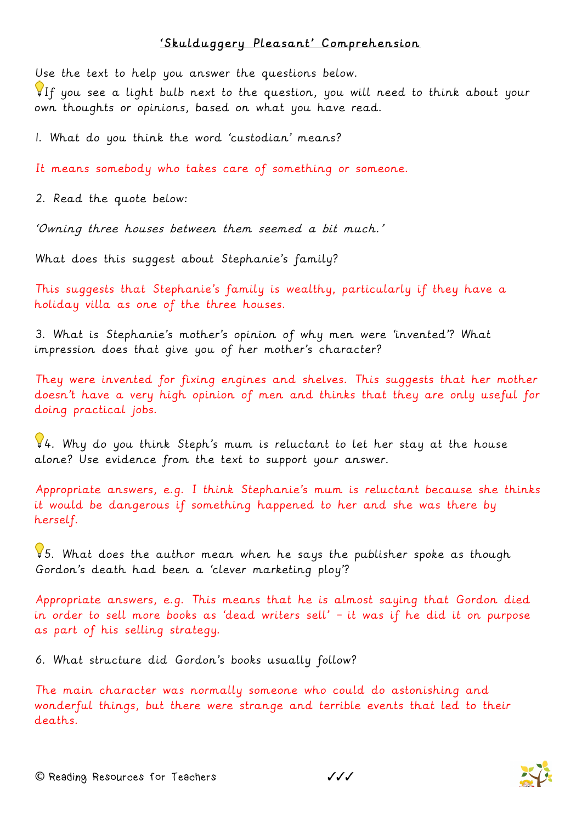## 'Skulduggery Pleasant' Comprehension

Use the text to help you answer the questions below.

If you see a light bulb next to the question, you will need to think about your own thoughts or opinions, based on what you have read.

1. What do you think the word 'custodian' means?

It means somebody who takes care of something or someone.

2. Read the quote below:

'Owning three houses between them seemed a bit much.'

What does this suggest about Stephanie's family?

This suggests that Stephanie's family is wealthy, particularly if they have a holiday villa as one of the three houses.

3. What is Stephanie's mother's opinion of why men were 'invented'? What impression does that give you of her mother's character?

They were invented for fixing engines and shelves. This suggests that her mother doesn't have a very high opinion of men and thinks that they are only useful for doing practical jobs.

 $94.$  Why do you think Steph's mum is reluctant to let her stay at the house alone? Use evidence from the text to support your answer.

Appropriate answers, e.g. I think Stephanie's mum is reluctant because she thinks it would be dangerous if something happened to her and she was there by herself.

5. What does the author mean when he says the publisher spoke as though Gordon's death had been a 'clever marketing ploy'?

Appropriate answers, e.g. This means that he is almost saying that Gordon died in order to sell more books as 'dead writers sell' – it was if he did it on purpose as part of his selling strategy.

6. What structure did Gordon's books usually follow?

The main character was normally someone who could do astonishing and wonderful things, but there were strange and terrible events that led to their deaths.